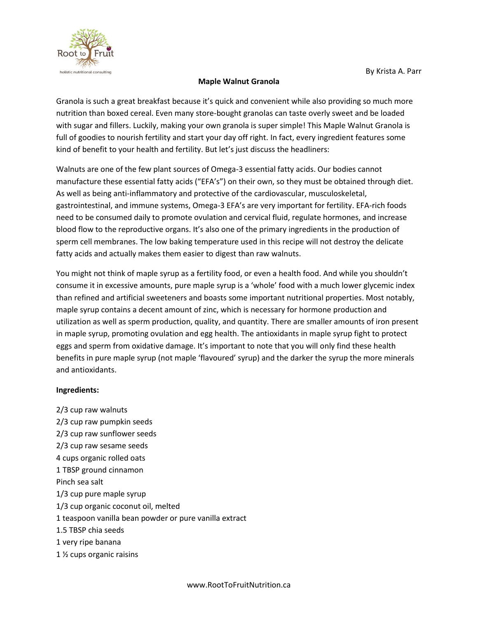

## **Maple Walnut Granola**

Granola is such a great breakfast because it's quick and convenient while also providing so much more nutrition than boxed cereal. Even many store-bought granolas can taste overly sweet and be loaded with sugar and fillers. Luckily, making your own granola is super simple! This Maple Walnut Granola is full of goodies to nourish fertility and start your day off right. In fact, every ingredient features some kind of benefit to your health and fertility. But let's just discuss the headliners:

Walnuts are one of the few plant sources of Omega-3 essential fatty acids. Our bodies cannot manufacture these essential fatty acids ("EFA's") on their own, so they must be obtained through diet. As well as being anti-inflammatory and protective of the cardiovascular, musculoskeletal, gastrointestinal, and immune systems, Omega-3 EFA's are very important for fertility. EFA-rich foods need to be consumed daily to promote ovulation and cervical fluid, regulate hormones, and increase blood flow to the reproductive organs. It's also one of the primary ingredients in the production of sperm cell membranes. The low baking temperature used in this recipe will not destroy the delicate fatty acids and actually makes them easier to digest than raw walnuts.

You might not think of maple syrup as a fertility food, or even a health food. And while you shouldn't consume it in excessive amounts, pure maple syrup is a 'whole' food with a much lower glycemic index than refined and artificial sweeteners and boasts some important nutritional properties. Most notably, maple syrup contains a decent amount of zinc, which is necessary for hormone production and utilization as well as sperm production, quality, and quantity. There are smaller amounts of iron present in maple syrup, promoting ovulation and egg health. The antioxidants in maple syrup fight to protect eggs and sperm from oxidative damage. It's important to note that you will only find these health benefits in pure maple syrup (not maple 'flavoured' syrup) and the darker the syrup the more minerals and antioxidants.

## **Ingredients:**

2/3 cup raw walnuts 2/3 cup raw pumpkin seeds 2/3 cup raw sunflower seeds 2/3 cup raw sesame seeds 4 cups organic rolled oats 1 TBSP ground cinnamon Pinch sea salt 1/3 cup pure maple syrup 1/3 cup organic coconut oil, melted 1 teaspoon vanilla bean powder or pure vanilla extract 1.5 TBSP chia seeds 1 very ripe banana 1 ½ cups organic raisins